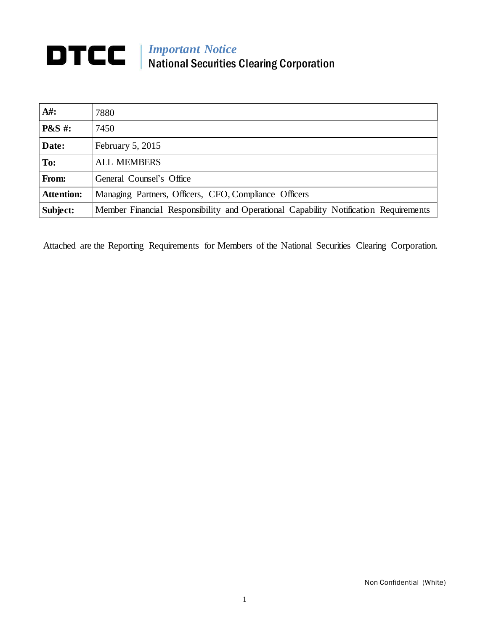## *Important Notice* National Securities Clearing Corporation

| $A#$ :            | 7880                                                                                 |
|-------------------|--------------------------------------------------------------------------------------|
| <b>P&amp;S</b> #: | 7450                                                                                 |
| Date:             | February 5, 2015                                                                     |
| To:               | <b>ALL MEMBERS</b>                                                                   |
| From:             | General Counsel's Office                                                             |
| <b>Attention:</b> | Managing Partners, Officers, CFO, Compliance Officers                                |
| Subject:          | Member Financial Responsibility and Operational Capability Notification Requirements |

Attached are the Reporting Requirements for Members of the National Securities Clearing Corporation.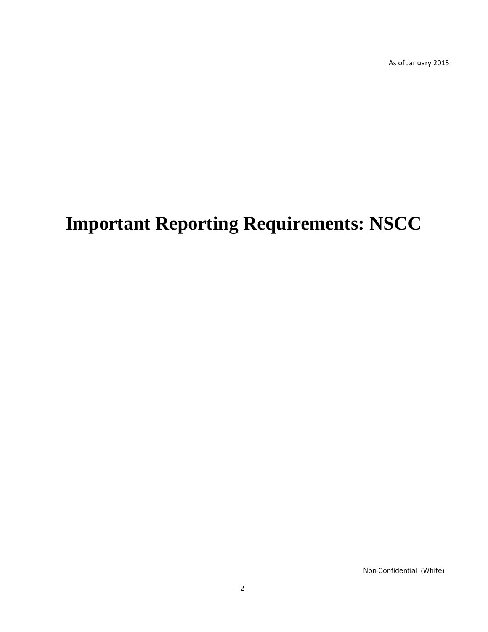As of January 2015

# **Important Reporting Requirements: NSCC**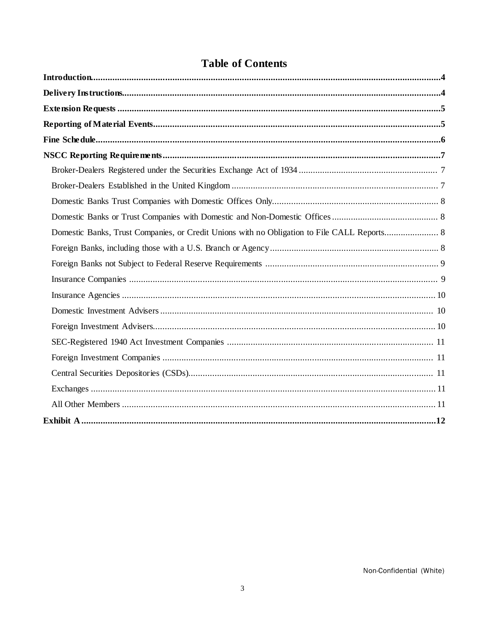## **Table of Contents**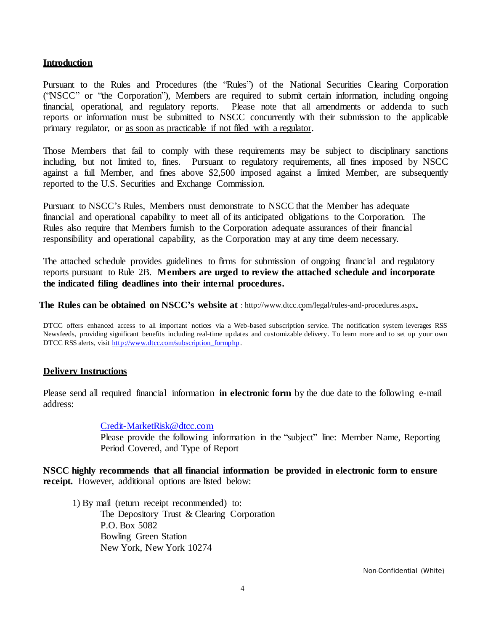#### **Introduction**

Pursuant to the Rules and Procedures (the "Rules") of the National Securities Clearing Corporation ("NSCC" or "the Corporation"), Members are required to submit certain information, including ongoing financial, operational, and regulatory reports. Please note that all amendments or addenda to such reports or information must be submitted to NSCC concurrently with their submission to the applicable primary regulator, or as soon as practicable if not filed with a regulator.

Those Members that fail to comply with these requirements may be subject to disciplinary sanctions including, but not limited to, fines. Pursuant to regulatory requirements, all fines imposed by NSCC against a full Member, and fines above \$2,500 imposed against a limited Member, are subsequently reported to the U.S. Securities and Exchange Commission.

Pursuant to NSCC's Rules, Members must demonstrate to NSCC that the Member has adequate financial and operational capability to meet all of its anticipated obligations to the Corporation. The Rules also require that Members furnish to the Corporation adequate assurances of their financial responsibility and operational capability, as the Corporation may at any time deem necessary.

The attached schedule provides guidelines to firms for submission of ongoing financial and regulatory reports pursuant to Rule 2B. **Members are urged to review the attached schedule and incorporate the indicated filing deadlines into their internal procedures.**

**The Rules can be obtained on NSCC's website at** :<http://www.dtcc.com/legal/rules-and-procedures.aspx>**.**

DTCC offers enhanced access to all important notices via a Web-based subscription service. The notification system leverages RSS Newsfeeds, providing significant benefits including real-time updates and customizable delivery. To learn more and to set up your own DTCC RSS alerts, visit [http://www.dtcc.com/subscription\\_formphp](http://www.dtcc.com/subscription_formphp) .

#### **Delivery Instructions**

Please send all required financial information **in electronic form** by the due date to the following e-mail address:

#### [Credit-MarketRisk@dtcc.com](mailto:Credit-MarketRisk@dtcc.com)

Please provide the following information in the "subject" line: Member Name, Reporting Period Covered, and Type of Report

**NSCC highly recommends that all financial information be provided in electronic form to ensure receipt.** However, additional options are listed below:

1) By mail (return receipt recommended) to: The Depository Trust & Clearing Corporation P.O. Box 5082 Bowling Green Station New York, New York 10274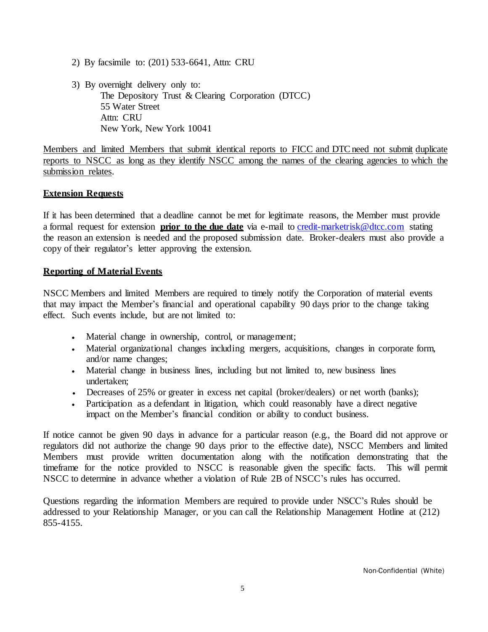- 2) By facsimile to: (201) 533-6641, Attn: CRU
- 3) By overnight delivery only to: The Depository Trust & Clearing Corporation (DTCC) 55 Water Street Attn: CRU New York, New York 10041

Members and limited Members that submit identical reports to FICC and DTC need not submit duplicate reports to NSCC as long as they identify NSCC among the names of the clearing agencies to which the submission relates.

#### **Extension Requests**

If it has been determined that a deadline cannot be met for legitimate reasons, the Member must provide a formal request for extension **prior to the due date** via e-mail to [credit-marketrisk@dtcc.com](mailto:credit-marketrisk@dtcc.com) stating the reason an extension is needed and the proposed submission date. Broker-dealers must also provide a copy of their regulator's letter approving the extension.

#### **Reporting of Material Events**

NSCC Members and limited Members are required to timely notify the Corporation of material events that may impact the Member's financial and operational capability 90 days prior to the change taking effect. Such events include, but are not limited to:

- Material change in ownership, control, or management;
- Material organizational changes including mergers, acquisitions, changes in corporate form, and/or name changes;
- Material change in business lines, including but not limited to, new business lines undertaken;
- Decreases of 25% or greater in excess net capital (broker/dealers) or net worth (banks);
- Participation as a defendant in litigation, which could reasonably have a direct negative impact on the Member's financial condition or ability to conduct business.

If notice cannot be given 90 days in advance for a particular reason (e.g., the Board did not approve or regulators did not authorize the change 90 days prior to the effective date), NSCC Members and limited Members must provide written documentation along with the notification demonstrating that the timeframe for the notice provided to NSCC is reasonable given the specific facts. This will permit NSCC to determine in advance whether a violation of Rule 2B of NSCC's rules has occurred.

Questions regarding the information Members are required to provide under NSCC's Rules should be addressed to your Relationship Manager, or you can call the Relationship Management Hotline at (212) 855-4155.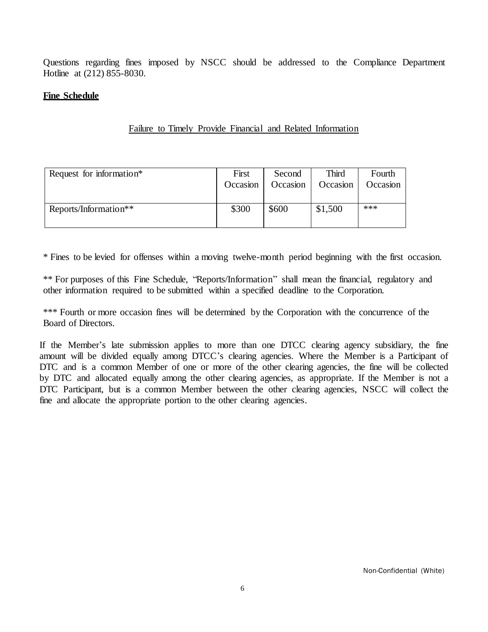Questions regarding fines imposed by NSCC should be addressed to the Compliance Department Hotline at (212) 855-8030.

#### **Fine Schedule**

#### Failure to Timely Provide Financial and Related Information

| Request for information* | First    | Second   | Third    | Fourth   |
|--------------------------|----------|----------|----------|----------|
|                          | Occasion | Occasion | Occasion | Occasion |
| Reports/Information**    | \$300    | \$600    | \$1,500  | ***      |

\* Fines to be levied for offenses within a moving twelve-month period beginning with the first occasion.

\*\* For purposes of this Fine Schedule, "Reports/Information" shall mean the financial, regulatory and other information required to be submitted within a specified deadline to the Corporation.

\*\*\* Fourth or more occasion fines will be determined by the Corporation with the concurrence of the Board of Directors.

If the Member's late submission applies to more than one DTCC clearing agency subsidiary, the fine amount will be divided equally among DTCC's clearing agencies. Where the Member is a Participant of DTC and is a common Member of one or more of the other clearing agencies, the fine will be collected by DTC and allocated equally among the other clearing agencies, as appropriate. If the Member is not a DTC Participant, but is a common Member between the other clearing agencies, NSCC will collect the fine and allocate the appropriate portion to the other clearing agencies.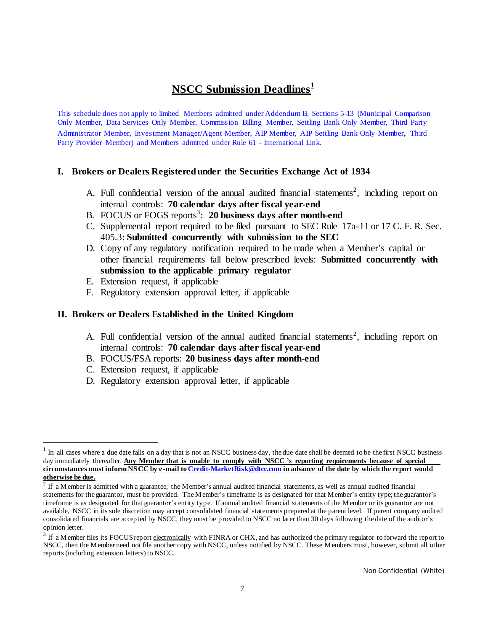### **NSCC Submission Deadlines 1**

This schedule does not apply to limited Members admitted under Addendum B, Sections 5-13 (Municipal Comparison Only Member, Data Services Only Member, Commission Billing Member, Settling Bank Only Member, Third Party Administrator Member, Investment Manager/Agent Member, AIP Member, AIP Settling Bank Only Member, Third Party Provider Member) and Members admitted under Rule 61 - International Link.

#### **I. Brokers or Dealers Registeredunder the Securities Exchange Act of 1934**

- A. Full confidential version of the annual audited financial statements<sup>2</sup>, including report on internal controls: **70 calendar days after fiscal year-end**
- B. FOCUS or FOGS reports 3 : **20 business days after month-end**
- C. Supplemental report required to be filed pursuant to SEC Rule 17a-11 or 17 C. F. R. Sec. 405.3: **Submitted concurrently with submission to the SEC**
- D. Copy of any regulatory notification required to be made when a Member's capital or other financial requirements fall below prescribed levels: **Submitted concurrently with submission to the applicable primary regulator**
- E. Extension request, if applicable
- F. Regulatory extension approval letter, if applicable

#### **II. Brokers or Dealers Established in the United Kingdom**

- A. Full confidential version of the annual audited financial statements<sup>2</sup>, including report on internal controls: **70 calendar days after fiscal year-end**
- B. FOCUS/FSA reports: **20 business days after month-end**
- C. Extension request, if applicable
- D. Regulatory extension approval letter, if applicable

<sup>1</sup> In all cases where a due date falls on a day that is not an NSCC business day, the due date shall be deemed to be the first NSCC business day immediately thereafter. **Any Member that is unable to comply with NSCC 's reporting requirements because of special**  circumstances must inform NSCC by e-mail to [Credit-MarketRisk@dtcc.com](mailto:Credit-MarketRisk@dtcc.com) in advance of the date by which the report would **otherwise be due.**

 $2^2$  If a Member is admitted with a guarantee, the Member's annual audited financial statements, as well as annual audited financial statements for the guarantor, must be provided. The Member's timeframe is as designated for that Member's entity type; the guarantor's timeframe is as designated for that guarantor's entity type. If annual audited financial statements ofthe Member or its guarantor are not available, NSCC in its sole discretion may accept consolidated financial statements prepared at the parent level. If parent company audited consolidated financials are accepted by NSCC, they must be provided to NSCC no later than 30 days following the date of the auditor's opinion letter.

 $3$  If a Member files its FOCUS report electronically with FINRA or CHX, and has authorized the primary regulator to forward the report to NSCC, then the Member need not file another copy with NSCC, unless notified by NSCC. These Members must, however, submit all other reports (including extension letters) to NSCC.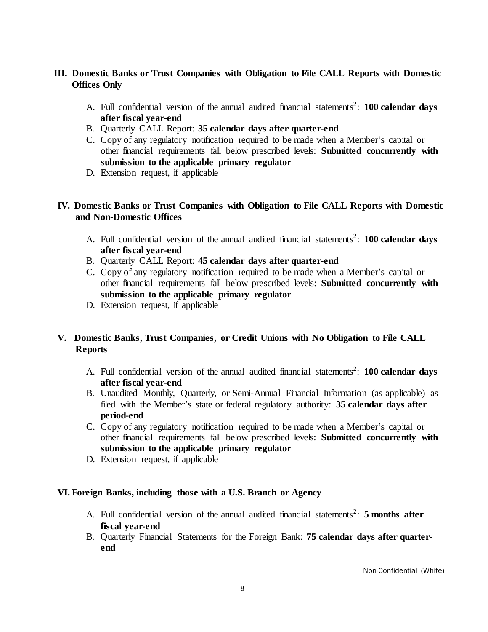#### **III. Domestic Banks or Trust Companies with Obligation to File CALL Reports with Domestic Offices Only**

- A. Full confidential version of the annual audited financial statements 2 : **100 calendar days after fiscal year-end**
- B. Quarterly CALL Report: **35 calendar days after quarter-end**
- C. Copy of any regulatory notification required to be made when a Member's capital or other financial requirements fall below prescribed levels: **Submitted concurrently with submission to the applicable primary regulator**
- D. Extension request, if applicable

#### **IV. Domestic Banks or Trust Companies with Obligation to File CALL Reports with Domestic and Non-Domestic Offices**

- A. Full confidential version of the annual audited financial statements 2 : **100 calendar days after fiscal year-end**
- B. Quarterly CALL Report: **45 calendar days after quarter-end**
- C. Copy of any regulatory notification required to be made when a Member's capital or other financial requirements fall below prescribed levels: **Submitted concurrently with submission to the applicable primary regulator**
- D. Extension request, if applicable

#### **V. Domestic Banks, Trust Companies, or Credit Unions with No Obligation to File CALL Reports**

- A. Full confidential version of the annual audited financial statements 2 : **100 calendar days after fiscal year-end**
- B. Unaudited Monthly, Quarterly, or Semi-Annual Financial Information (as applicable) as filed with the Member's state or federal regulatory authority: **35 calendar days after period-end**
- C. Copy of any regulatory notification required to be made when a Member's capital or other financial requirements fall below prescribed levels: **Submitted concurrently with submission to the applicable primary regulator**
- D. Extension request, if applicable

#### **VI. Foreign Banks, including those with a U.S. Branch or Agency**

- A. Full confidential version of the annual audited financial statements 2 : **5 months after fiscal year-end**
- B. Quarterly Financial Statements for the Foreign Bank: **75 calendar days after quarterend**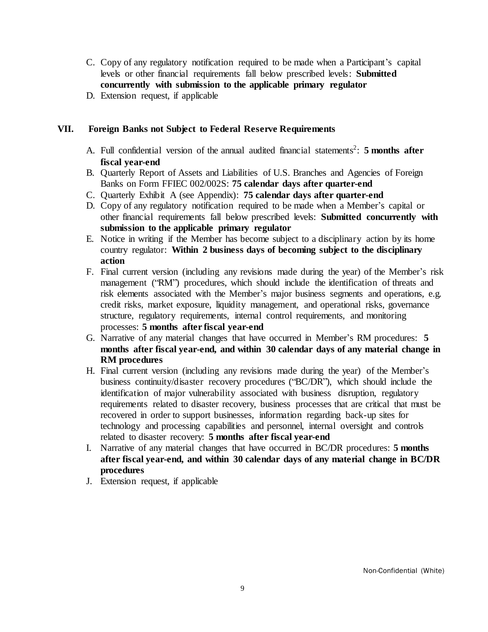- C. Copy of any regulatory notification required to be made when a Participant's capital levels or other financial requirements fall below prescribed levels: **Submitted concurrently with submission to the applicable primary regulator**
- D. Extension request, if applicable

#### **VII. Foreign Banks not Subject to Federal Reserve Requirements**

- A. Full confidential version of the annual audited financial statements 2 : **5 months after fiscal year-end**
- B. Quarterly Report of Assets and Liabilities of U.S. Branches and Agencies of Foreign Banks on Form FFIEC 002/002S: **75 calendar days after quarter-end**
- C. Quarterly Exhibit A (see Appendix): **75 calendar days after quarter-end**
- D. Copy of any regulatory notification required to be made when a Member's capital or other financial requirements fall below prescribed levels: **Submitted concurrently with submission to the applicable primary regulator**
- E. Notice in writing if the Member has become subject to a disciplinary action by its home country regulator: **Within 2 business days of becoming subject to the disciplinary action**
- F. Final current version (including any revisions made during the year) of the Member's risk management ("RM") procedures, which should include the identification of threats and risk elements associated with the Member's major business segments and operations, e.g. credit risks, market exposure, liquidity management, and operational risks, governance structure, regulatory requirements, internal control requirements, and monitoring processes: **5 months after fiscal year-end**
- G. Narrative of any material changes that have occurred in Member's RM procedures: **5 months after fiscal year-end, and within 30 calendar days of any material change in RM procedures**
- H. Final current version (including any revisions made during the year) of the Member's business continuity/disaster recovery procedures ("BC/DR"), which should include the identification of major vulnerability associated with business disruption, regulatory requirements related to disaster recovery, business processes that are critical that must be recovered in order to support businesses, information regarding back-up sites for technology and processing capabilities and personnel, internal oversight and controls related to disaster recovery: **5 months after fiscal year-end**
- I. Narrative of any material changes that have occurred in BC/DR procedures: **5 months after fiscal year-end, and within 30 calendar days of any material change in BC/DR procedures**
- J. Extension request, if applicable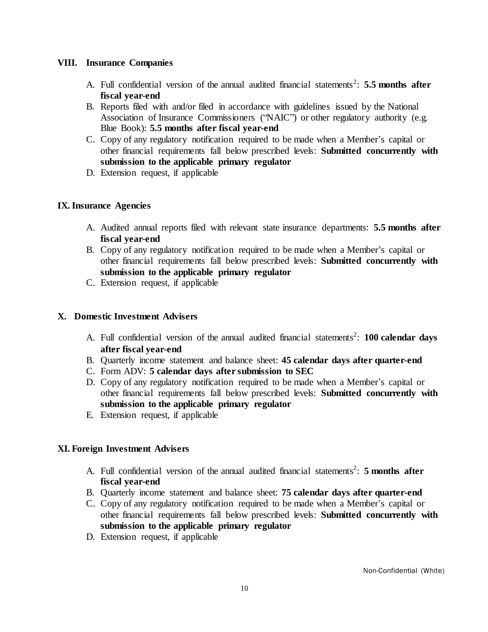#### **VIII. Insurance Companies**

- A. Full confidential version of the annual audited financial statements 2 : **5.5 months after fiscal year-end**
- B. Reports filed with and/or filed in accordance with guidelines issued by the National Association of Insurance Commissioners ("NAIC") or other regulatory authority (e.g. Blue Book): **5.5 months after fiscal year-end**
- C. Copy of any regulatory notification required to be made when a Member's capital or other financial requirements fall below prescribed levels: **Submitted concurrently with submission to the applicable primary regulator**
- D. Extension request, if applicable

#### **IX.Insurance Agencies**

- A. Audited annual reports filed with relevant state insurance departments: **5.5 months after fiscal year-end**
- B. Copy of any regulatory notification required to be made when a Member's capital or other financial requirements fall below prescribed levels: **Submitted concurrently with submission to the applicable primary regulator**
- C. Extension request, if applicable

#### **X. Domestic Investment Advisers**

- A. Full confidential version of the annual audited financial statements 2 : **100 calendar days after fiscal year-end**
- B. Quarterly income statement and balance sheet: **45 calendar days after quarter-end**
- C. Form ADV: **5 calendar days after submission to SEC**
- D. Copy of any regulatory notification required to be made when a Member's capital or other financial requirements fall below prescribed levels: **Submitted concurrently with submission to the applicable primary regulator**
- E. Extension request, if applicable

#### **XI. Foreign Investment Advisers**

- A. Full confidential version of the annual audited financial statements 2 : **5 months after fiscal year-end**
- B. Quarterly income statement and balance sheet: **75 calendar days after quarter-end**
- C. Copy of any regulatory notification required to be made when a Member's capital or other financial requirements fall below prescribed levels: **Submitted concurrently with submission to the applicable primary regulator**
- D. Extension request, if applicable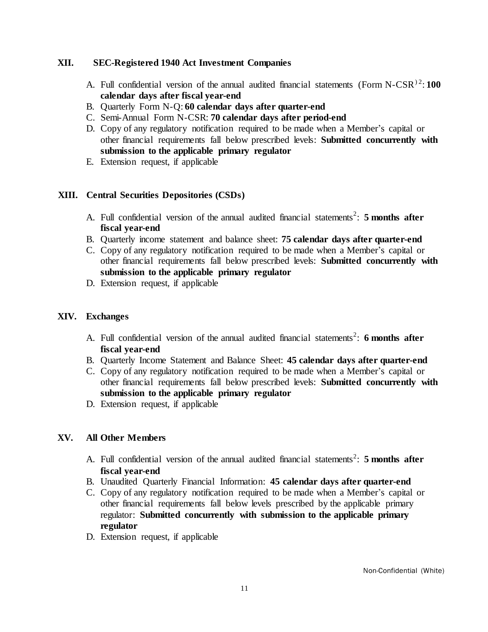#### **XII. SEC-Registered 1940 Act Investment Companies**

- A. Full confidential version of the annual audited financial statements (Form N-CSR<sup>)2</sup>:100 **calendar days after fiscal year-end**
- B. Quarterly Form N-Q: **60 calendar days after quarter-end**
- C. Semi-Annual Form N-CSR: **70 calendar days after period-end**
- D. Copy of any regulatory notification required to be made when a Member's capital or other financial requirements fall below prescribed levels: **Submitted concurrently with submission to the applicable primary regulator**
- E. Extension request, if applicable

#### **XIII. Central Securities Depositories (CSDs)**

- A. Full confidential version of the annual audited financial statements 2 : **5 months after fiscal year-end**
- B. Quarterly income statement and balance sheet: **75 calendar days after quarter-end**
- C. Copy of any regulatory notification required to be made when a Member's capital or other financial requirements fall below prescribed levels: **Submitted concurrently with submission to the applicable primary regulator**
- D. Extension request, if applicable

#### **XIV. Exchanges**

- A. Full confidential version of the annual audited financial statements 2 : **6 months after fiscal year-end**
- B. Quarterly Income Statement and Balance Sheet: **45 calendar days after quarter-end**
- C. Copy of any regulatory notification required to be made when a Member's capital or other financial requirements fall below prescribed levels: **Submitted concurrently with submission to the applicable primary regulator**
- D. Extension request, if applicable

#### **XV. All Other Members**

- A. Full confidential version of the annual audited financial statements 2 : **5 months after fiscal year-end**
- B. Unaudited Quarterly Financial Information: **45 calendar days after quarter-end**
- C. Copy of any regulatory notification required to be made when a Member's capital or other financial requirements fall below levels prescribed by the applicable primary regulator: **Submitted concurrently with submission to the applicable primary regulator**
- D. Extension request, if applicable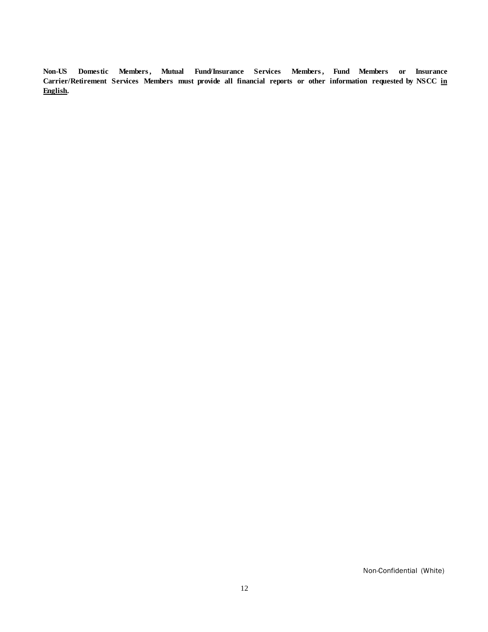**Non-US Domestic Members, Mutual Fund/Insurance Services Members, Fund Members or Insurance Carrier/Retirement Services Members must provide all financial reports or other information requested by NSCC in English.**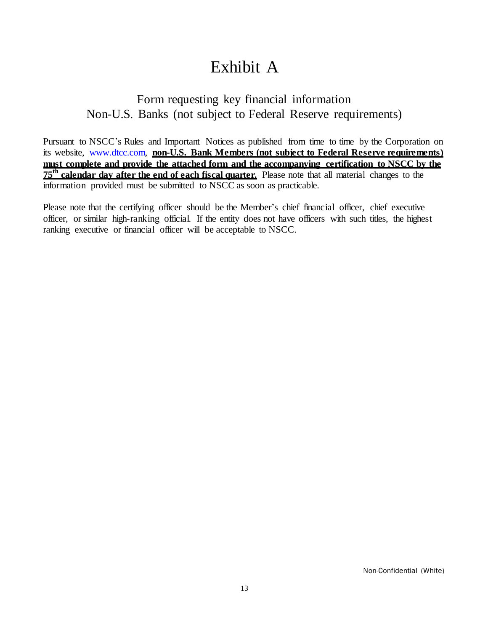## Exhibit A

## Form requesting key financial information Non-U.S. Banks (not subject to Federal Reserve requirements)

Pursuant to NSCC's Rules and Important Notices as published from time to time by the Corporation on its website, [www.dtcc.com,](file://CORP/DATA/NSCCDATA/RISK%20MGMT%20PROC/Credit%20Risk/FICC/GSD/Netting/Word%20Version%20of%20Reporting%20Requirements%2012.11.09/www.dtcc.com) **non-U.S. Bank Members (not subject to Federal Reserve requirements) must complete and provide the attached form and the accompanying certification to NSCC by the 75th calendar day after the end of each fiscal quarter.** Please note that all material changes to the information provided must be submitted to NSCC as soon as practicable.

Please note that the certifying officer should be the Member's chief financial officer, chief executive officer, or similar high-ranking official. If the entity does not have officers with such titles, the highest ranking executive or financial officer will be acceptable to NSCC.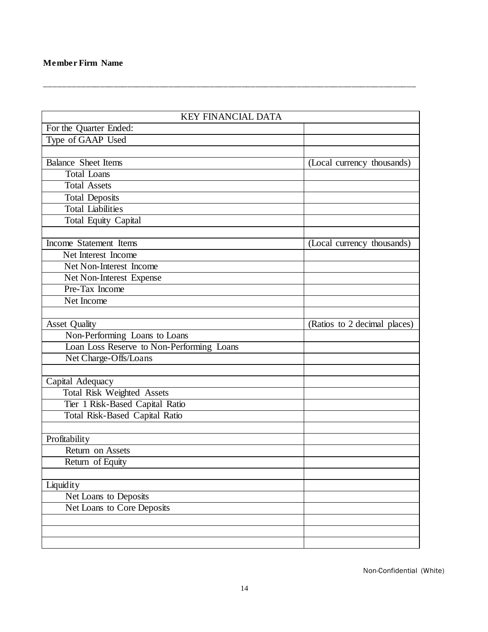| <b>KEY FINANCIAL DATA</b>                 |                              |
|-------------------------------------------|------------------------------|
| For the Quarter Ended:                    |                              |
| Type of GAAP Used                         |                              |
|                                           |                              |
| <b>Balance Sheet Items</b>                | (Local currency thousands)   |
| <b>Total Loans</b>                        |                              |
| <b>Total Assets</b>                       |                              |
| <b>Total Deposits</b>                     |                              |
| <b>Total Liabilities</b>                  |                              |
| <b>Total Equity Capital</b>               |                              |
|                                           |                              |
| <b>Income Statement Items</b>             | (Local currency thousands)   |
| Net Interest Income                       |                              |
| Net Non-Interest Income                   |                              |
| Net Non-Interest Expense                  |                              |
| Pre-Tax Income                            |                              |
| Net Income                                |                              |
|                                           |                              |
| <b>Asset Quality</b>                      | (Ratios to 2 decimal places) |
| Non-Performing Loans to Loans             |                              |
| Loan Loss Reserve to Non-Performing Loans |                              |
| Net Charge-Offs/Loans                     |                              |
|                                           |                              |
| Capital Adequacy                          |                              |
| Total Risk Weighted Assets                |                              |
| Tier 1 Risk-Based Capital Ratio           |                              |
| Total Risk-Based Capital Ratio            |                              |
|                                           |                              |
| Profitability                             |                              |
| Return on Assets                          |                              |
| Return of Equity                          |                              |
|                                           |                              |
| Liquidity                                 |                              |
| Net Loans to Deposits                     |                              |
| Net Loans to Core Deposits                |                              |
|                                           |                              |
|                                           |                              |
|                                           |                              |

\_\_\_\_\_\_\_\_\_\_\_\_\_\_\_\_\_\_\_\_\_\_\_\_\_\_\_\_\_\_\_\_\_\_\_\_\_\_\_\_\_\_\_\_\_\_\_\_\_\_\_\_\_\_\_\_\_\_\_\_\_\_\_\_\_\_\_\_\_\_\_\_\_\_\_\_\_\_\_\_\_